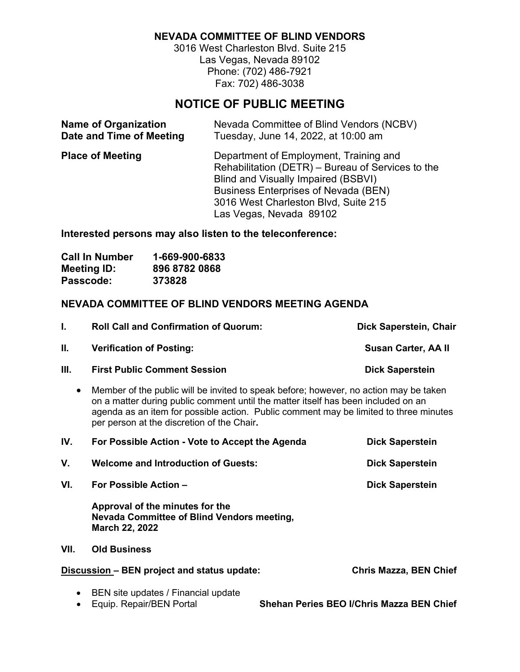# **NEVADA COMMITTEE OF BLIND VENDORS**

3016 West Charleston Blvd. Suite 215 Las Vegas, Nevada 89102 Phone: (702) 486-7921 Fax: 702) 486-3038

# **NOTICE OF PUBLIC MEETING**

| <b>Name of Organization</b> | Nevada Committee of Blind Vendors (NCBV)                                                                                                                                                                                                             |
|-----------------------------|------------------------------------------------------------------------------------------------------------------------------------------------------------------------------------------------------------------------------------------------------|
| Date and Time of Meeting    | Tuesday, June 14, 2022, at 10:00 am                                                                                                                                                                                                                  |
| <b>Place of Meeting</b>     | Department of Employment, Training and<br>Rehabilitation (DETR) – Bureau of Services to the<br>Blind and Visually Impaired (BSBVI)<br><b>Business Enterprises of Nevada (BEN)</b><br>3016 West Charleston Blvd, Suite 215<br>Las Vegas, Nevada 89102 |

**Interested persons may also listen to the teleconference:**

| <b>Call In Number</b> | 1-669-900-6833 |
|-----------------------|----------------|
| <b>Meeting ID:</b>    | 896 8782 0868  |
| Passcode:             | 373828         |

# **NEVADA COMMITTEE OF BLIND VENDORS MEETING AGENDA**

|      | <b>Roll Call and Confirmation of Quorum:</b>                                          | Dick Saperstein, Chair     |
|------|---------------------------------------------------------------------------------------|----------------------------|
| Ш.   | <b>Verification of Posting:</b>                                                       | <b>Susan Carter, AA II</b> |
| III. | <b>First Public Comment Session</b>                                                   | <b>Dick Saperstein</b>     |
|      | Member of the public will be invited to speak before; however, no action may be taken |                            |

on a matter during public comment until the matter itself has been included on an agenda as an item for possible action. Public comment may be limited to three minutes per person at the discretion of the Chair**.**

| IV. | For Possible Action - Vote to Accept the Agenda                                                        | <b>Dick Saperstein</b> |
|-----|--------------------------------------------------------------------------------------------------------|------------------------|
| V.  | <b>Welcome and Introduction of Guests:</b>                                                             | <b>Dick Saperstein</b> |
| VI. | For Possible Action -                                                                                  | <b>Dick Saperstein</b> |
|     | Approval of the minutes for the<br>Nevada Committee of Blind Vendors meeting,<br><b>March 22, 2022</b> |                        |

### **VII. Old Business**

## **Discussion – BEN project and status update: Chris Mazza, BEN Chief**

- 
- **Shehan Peries BEO I/Chris Mazza BEN Chief**
- BEN site updates / Financial update<br>• Equip. Repair/BEN Portal